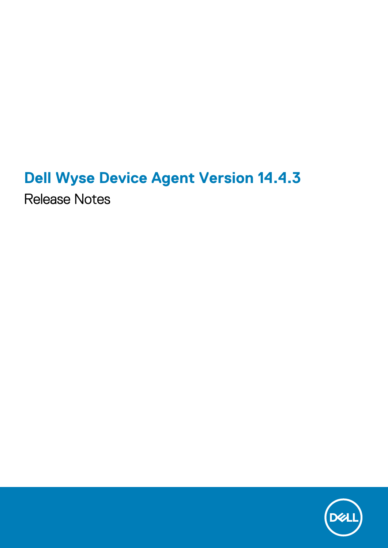## **Dell Wyse Device Agent Version 14.4.3**

Release Notes

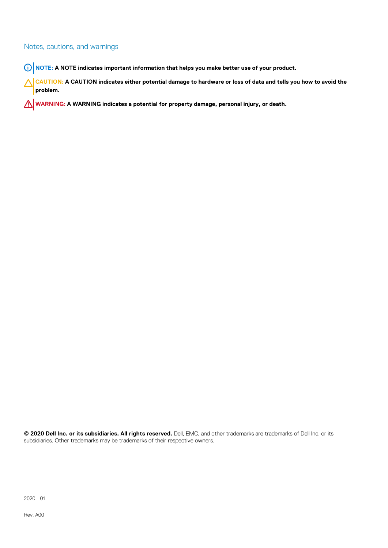### Notes, cautions, and warnings

**NOTE: A NOTE indicates important information that helps you make better use of your product.**

**CAUTION: A CAUTION indicates either potential damage to hardware or loss of data and tells you how to avoid the problem.**

**WARNING: A WARNING indicates a potential for property damage, personal injury, or death.**

**© 2020 Dell Inc. or its subsidiaries. All rights reserved.** Dell, EMC, and other trademarks are trademarks of Dell Inc. or its subsidiaries. Other trademarks may be trademarks of their respective owners.

2020 - 01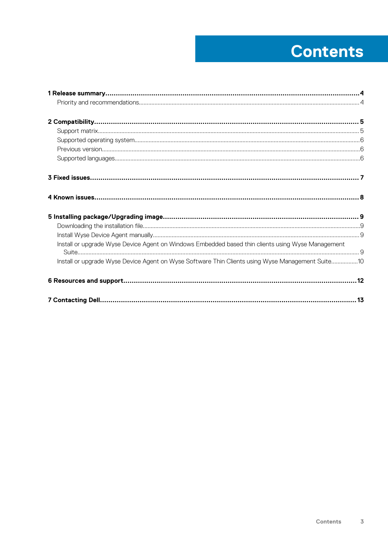## **Contents**

| Install or upgrade Wyse Device Agent on Windows Embedded based thin clients using Wyse Management |  |
|---------------------------------------------------------------------------------------------------|--|
| Install or upgrade Wyse Device Agent on Wyse Software Thin Clients using Wyse Management Suite10  |  |
|                                                                                                   |  |
|                                                                                                   |  |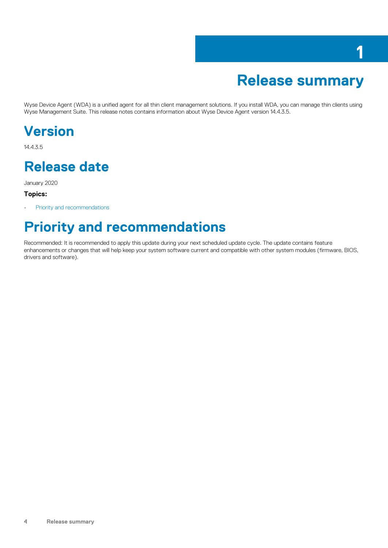## **Release summary**

**1**

<span id="page-3-0"></span>Wyse Device Agent (WDA) is a unified agent for all thin client management solutions. If you install WDA, you can manage thin clients using Wyse Management Suite. This release notes contains information about Wyse Device Agent version 14.4.3.5.

### **Version**

14.4.3.5

### **Release date**

January 2020

#### **Topics:**

Priority and recommendations

### **Priority and recommendations**

Recommended: It is recommended to apply this update during your next scheduled update cycle. The update contains feature enhancements or changes that will help keep your system software current and compatible with other system modules (firmware, BIOS, drivers and software).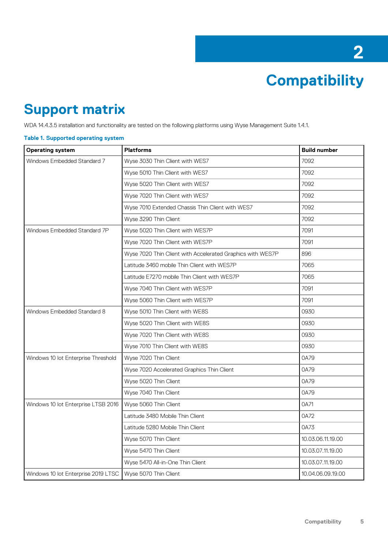**Compatibility**

**2**

### <span id="page-4-0"></span>**Support matrix**

WDA 14.4.3.5 installation and functionality are tested on the following platforms using Wyse Management Suite 1.4.1.

#### **Table 1. Supported operating system**

| <b>Operating system</b>             | <b>Platforms</b>                                           | <b>Build number</b> |
|-------------------------------------|------------------------------------------------------------|---------------------|
| Windows Embedded Standard 7         | Wyse 3030 Thin Client with WES7                            | 7092                |
|                                     | Wyse 5010 Thin Client with WES7                            | 7092                |
|                                     | Wyse 5020 Thin Client with WES7                            | 7092                |
|                                     | Wyse 7020 Thin Client with WES7                            | 7092                |
|                                     | Wyse 7010 Extended Chassis Thin Client with WES7           | 7092                |
|                                     | Wyse 3290 Thin Client                                      | 7092                |
| Windows Embedded Standard 7P        | Wyse 5020 Thin Client with WES7P                           | 7091                |
|                                     | Wyse 7020 Thin Client with WES7P                           | 7091                |
|                                     | Wyse 7020 Thin Client with Accelerated Graphics with WES7P | 896                 |
|                                     | Latitude 3460 mobile Thin Client with WES7P                | 7065                |
|                                     | Latitude E7270 mobile Thin Client with WES7P               | 7065                |
|                                     | Wyse 7040 Thin Client with WES7P                           | 7091                |
|                                     | Wyse 5060 Thin Client with WES7P                           | 7091                |
| Windows Embedded Standard 8         | Wyse 5010 Thin Client with WE8S                            | 0930                |
|                                     | Wyse 5020 Thin Client with WE8S                            | 0930                |
|                                     | Wyse 7020 Thin Client with WE8S                            | 0930                |
|                                     | Wyse 7010 Thin Client with WE8S                            | 0930                |
| Windows 10 lot Enterprise Threshold | Wyse 7020 Thin Client                                      | 0A79                |
|                                     | Wyse 7020 Accelerated Graphics Thin Client                 | 0A79                |
|                                     | Wyse 5020 Thin Client                                      | 0A79                |
|                                     | Wyse 7040 Thin Client                                      | 0A79                |
| Windows 10 lot Enterprise LTSB 2016 | Wyse 5060 Thin Client                                      | 0A71                |
|                                     | Latitude 3480 Mobile Thin Client                           | 0A72                |
|                                     | Latitude 5280 Mobile Thin Client                           | 0A73                |
|                                     | Wyse 5070 Thin Client                                      | 10.03.06.11.19.00   |
|                                     | Wyse 5470 Thin Client                                      | 10.03.07.11.19.00   |
|                                     | Wyse 5470 All-in-One Thin Client                           | 10.03.07.11.19.00   |
| Windows 10 lot Enterprise 2019 LTSC | Wyse 5070 Thin Client                                      | 10.04.06.09.19.00   |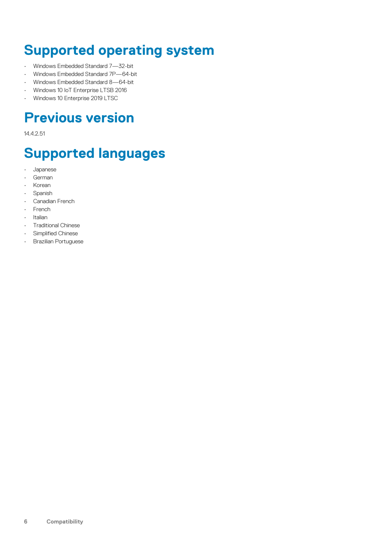### <span id="page-5-0"></span>**Supported operating system**

- Windows Embedded Standard 7—32-bit
- Windows Embedded Standard 7P—64-bit
- Windows Embedded Standard 8—64-bit
- Windows 10 IoT Enterprise LTSB 2016
- Windows 10 Enterprise 2019 LTSC

### **Previous version**

14.4.2.51

## **Supported languages**

- Japanese
- German
- Korean
- **Spanish**
- Canadian French
- French
- Italian
- Traditional Chinese
- Simplified Chinese
- Brazilian Portuguese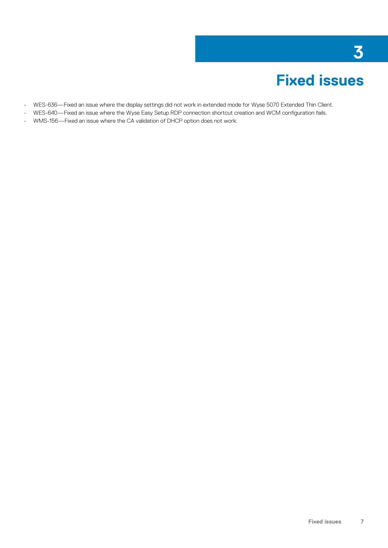## **Fixed issues**

**3**

- <span id="page-6-0"></span>• WES-636—Fixed an issue where the display settings did not work in extended mode for Wyse 5070 Extended Thin Client.
- WES-640—Fixed an issue where the Wyse Easy Setup RDP connection shortcut creation and WCM configuration fails.
- WMS-156—Fixed an issue where the CA validation of DHCP option does not work.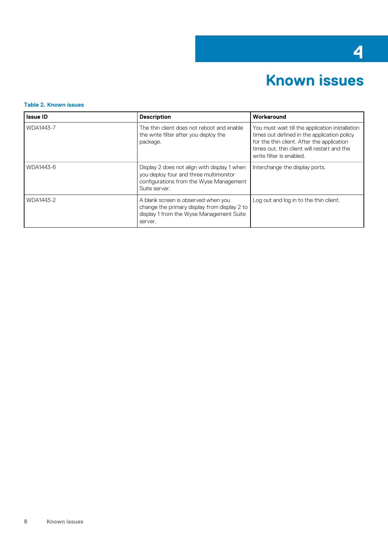## **4**

## **Known issues**

#### <span id="page-7-0"></span>**Table 2. Known issues**

| <b>Issue ID</b> | <b>Description</b>                                                                                                                                 | Workaround                                                                                                                                                                                                              |
|-----------------|----------------------------------------------------------------------------------------------------------------------------------------------------|-------------------------------------------------------------------------------------------------------------------------------------------------------------------------------------------------------------------------|
| WDA1443-7       | The thin client does not reboot and enable<br>the write filter after you deploy the<br>package.                                                    | You must wait till the application installation<br>times out defined in the application policy<br>for the thin client. After the application<br>times out, thin client will restart and the<br>write filter is enabled. |
| WDA1443-6       | Display 2 does not align with display 1 when<br>you deploy four and three multimonitor<br>configurations from the Wyse Management<br>Suite server. | Interchange the display ports.                                                                                                                                                                                          |
| WDA1443-2       | A blank screen is observed when you<br>change the primary display from display 2 to<br>display 1 from the Wyse Management Suite<br>server.         | Log out and log in to the thin client.                                                                                                                                                                                  |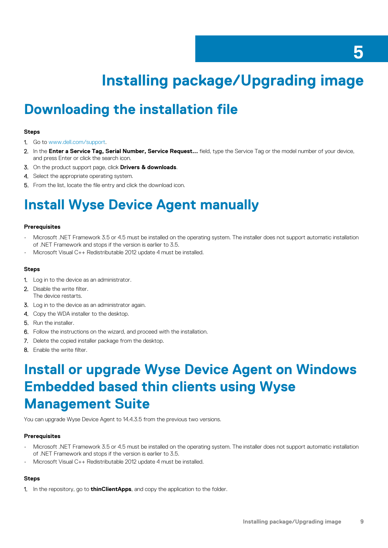## **Installing package/Upgrading image**

### <span id="page-8-0"></span>**Downloading the installation file**

#### **Steps**

- 1. Go to [www.dell.com/support.](https://www.dell.com/support)
- 2. In the **Enter a Service Tag, Serial Number, Service Request...** field, type the Service Tag or the model number of your device, and press Enter or click the search icon.
- 3. On the product support page, click **Drivers & downloads**.
- 4. Select the appropriate operating system.
- 5. From the list, locate the file entry and click the download icon.

## **Install Wyse Device Agent manually**

#### **Prerequisites**

- Microsoft .NET Framework 3.5 or 4.5 must be installed on the operating system. The installer does not support automatic installation of .NET Framework and stops if the version is earlier to 3.5.
- Microsoft Visual C++ Redistributable 2012 update 4 must be installed.

#### **Steps**

- 1. Log in to the device as an administrator.
- 2. Disable the write filter. The device restarts.
- **3.** Log in to the device as an administrator again.
- 4. Copy the WDA installer to the desktop.
- 5. Run the installer.
- 6. Follow the instructions on the wizard, and proceed with the installation.
- 7. Delete the copied installer package from the desktop.
- 8. Enable the write filter.

### **Install or upgrade Wyse Device Agent on Windows Embedded based thin clients using Wyse Management Suite**

You can upgrade Wyse Device Agent to 14.4.3.5 from the previous two versions.

#### **Prerequisites**

- Microsoft .NET Framework 3.5 or 4.5 must be installed on the operating system. The installer does not support automatic installation of .NET Framework and stops if the version is earlier to 3.5.
- Microsoft Visual C++ Redistributable 2012 update 4 must be installed.

### **Steps**

1. In the repository, go to **thinClientApps**, and copy the application to the folder.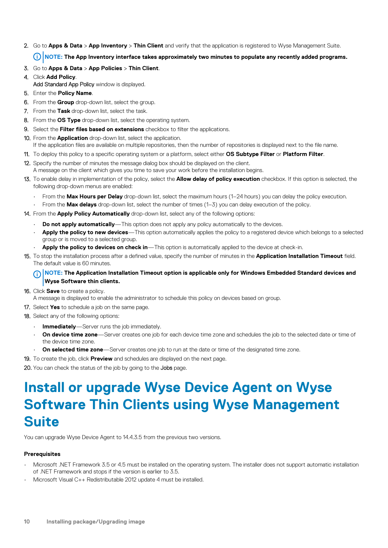### <span id="page-9-0"></span>2. Go to **Apps & Data** > **App Inventory** > **Thin Client** and verify that the application is registered to Wyse Management Suite.

### **NOTE: The App Inventory interface takes approximately two minutes to populate any recently added programs.**

- 3. Go to **Apps & Data** > **App Policies** > **Thin Client**.
- 4. Click **Add Policy**.
	- Add Standard App Policy window is displayed.
- 5. Enter the **Policy Name**.
- 6. From the **Group** drop-down list, select the group.
- 7. From the **Task** drop-down list, select the task.
- 8. From the **OS Type** drop-down list, select the operating system.
- 9. Select the **Filter files based on extensions** checkbox to filter the applications.
- 10. From the **Application** drop-down list, select the application.
- If the application files are available on multiple repositories, then the number of repositories is displayed next to the file name.
- 11. To deploy this policy to a specific operating system or a platform, select either **OS Subtype Filter** or **Platform Filter**.
- 12. Specify the number of minutes the message dialog box should be displayed on the client. A message on the client which gives you time to save your work before the installation begins.
- 13. To enable delay in implementation of the policy, select the **Allow delay of policy execution** checkbox. If this option is selected, the following drop-down menus are enabled:
	- From the **Max Hours per Delay** drop-down list, select the maximum hours (1–24 hours) you can delay the policy execution.
	- From the **Max delays** drop-down list, select the number of times (1–3) you can delay execution of the policy.
- 14. From the **Apply Policy Automatically** drop-down list, select any of the following options:
	- **Do not apply automatically**—This option does not apply any policy automatically to the devices.
	- **Apply the policy to new devices**—This option automatically applies the policy to a registered device which belongs to a selected group or is moved to a selected group.
	- Apply the policy to devices on check in—This option is automatically applied to the device at check-in.
- 15. To stop the installation process after a defined value, specify the number of minutes in the **Application Installation Timeout** field. The default value is 60 minutes.

#### **NOTE: The Application Installation Timeout option is applicable only for Windows Embedded Standard devices and Wyse Software thin clients.**

- 16. Click **Save** to create a policy.
	- A message is displayed to enable the administrator to schedule this policy on devices based on group.
- 17. Select **Yes** to schedule a job on the same page.
- 18. Select any of the following options:
	- **Immediately**—Server runs the job immediately.
	- **On device time zone**—Server creates one job for each device time zone and schedules the job to the selected date or time of the device time zone.
	- **On selected time zone**—Server creates one job to run at the date or time of the designated time zone.
- 19. To create the job, click **Preview** and schedules are displayed on the next page.
- 20. You can check the status of the job by going to the Jobs page.

### **Install or upgrade Wyse Device Agent on Wyse Software Thin Clients using Wyse Management Suite**

You can upgrade Wyse Device Agent to 14.4.3.5 from the previous two versions.

### **Prerequisites**

- Microsoft .NET Framework 3.5 or 4.5 must be installed on the operating system. The installer does not support automatic installation of .NET Framework and stops if the version is earlier to 3.5.
- Microsoft Visual C++ Redistributable 2012 update 4 must be installed.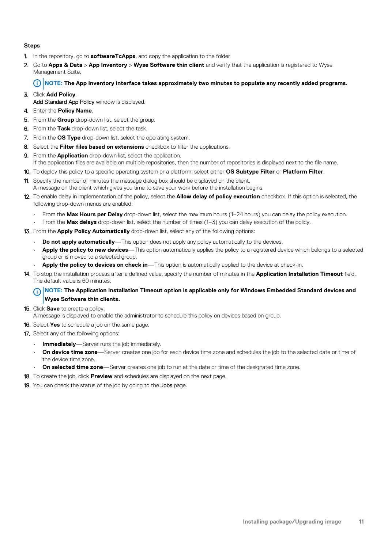#### **Steps**

- 1. In the repository, go to **softwareTcApps**, and copy the application to the folder.
- 2. Go to **Apps & Data** > **App Inventory** > **Wyse Software thin client** and verify that the application is registered to Wyse Management Suite.

#### **NOTE: The App Inventory interface takes approximately two minutes to populate any recently added programs.**

### 3. Click **Add Policy**.

Add Standard App Policy window is displayed.

### 4. Enter the **Policy Name**.

- 5. From the **Group** drop-down list, select the group.
- 6. From the **Task** drop-down list, select the task.
- 7. From the **OS Type** drop-down list, select the operating system.
- 8. Select the **Filter files based on extensions** checkbox to filter the applications.
- 9. From the **Application** drop-down list, select the application. If the application files are available on multiple repositories, then the number of repositories is displayed next to the file name.
- 10. To deploy this policy to a specific operating system or a platform, select either **OS Subtype Filter** or **Platform Filter**.
- 11. Specify the number of minutes the message dialog box should be displayed on the client. A message on the client which gives you time to save your work before the installation begins.
- 12. To enable delay in implementation of the policy, select the **Allow delay of policy execution** checkbox. If this option is selected, the following drop-down menus are enabled:
	- From the **Max Hours per Delay** drop-down list, select the maximum hours (1–24 hours) you can delay the policy execution.
	- From the **Max delays** drop-down list, select the number of times (1–3) you can delay execution of the policy.
- 13. From the **Apply Policy Automatically** drop-down list, select any of the following options:
	- **Do not apply automatically**—This option does not apply any policy automatically to the devices.
	- **Apply the policy to new devices**—This option automatically applies the policy to a registered device which belongs to a selected group or is moved to a selected group.
	- **Apply the policy to devices on check in**—This option is automatically applied to the device at check-in.
- 14. To stop the installation process after a defined value, specify the number of minutes in the **Application Installation Timeout** field. The default value is 60 minutes.

#### **NOTE: The Application Installation Timeout option is applicable only for Windows Embedded Standard devices and**  ⋒ **Wyse Software thin clients.**

#### 15. Click **Save** to create a policy.

- A message is displayed to enable the administrator to schedule this policy on devices based on group.
- 16. Select **Yes** to schedule a job on the same page.
- 17. Select any of the following options:
	- **Immediately**—Server runs the job immediately.
	- **On device time zone**—Server creates one job for each device time zone and schedules the job to the selected date or time of the device time zone.
	- **On selected time zone**—Server creates one job to run at the date or time of the designated time zone.
- 18. To create the job, click **Preview** and schedules are displayed on the next page.
- 19. You can check the status of the job by going to the Jobs page.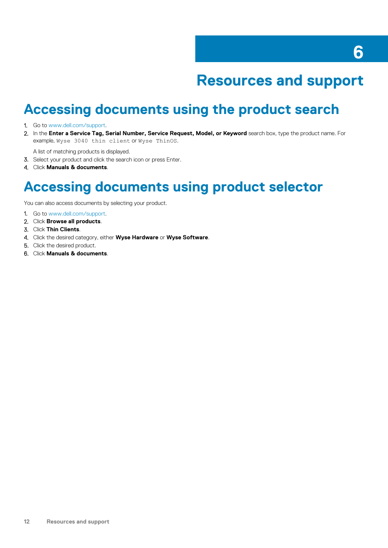## **Resources and support**

### <span id="page-11-0"></span>**Accessing documents using the product search**

#### 1. Go to [www.dell.com/support.](https://www.dell.com/support)

2. In the **Enter a Service Tag, Serial Number, Service Request, Model, or Keyword** search box, type the product name. For example, Wyse 3040 thin client or Wyse ThinOS.

A list of matching products is displayed.

- 3. Select your product and click the search icon or press Enter.
- 4. Click **Manuals & documents**.

### **Accessing documents using product selector**

You can also access documents by selecting your product.

- 1. Go to [www.dell.com/support.](https://www.dell.com/support)
- 2. Click **Browse all products**.
- 3. Click **Thin Clients**.
- 4. Click the desired category, either **Wyse Hardware** or **Wyse Software**.
- 5. Click the desired product.
- 6. Click **Manuals & documents**.